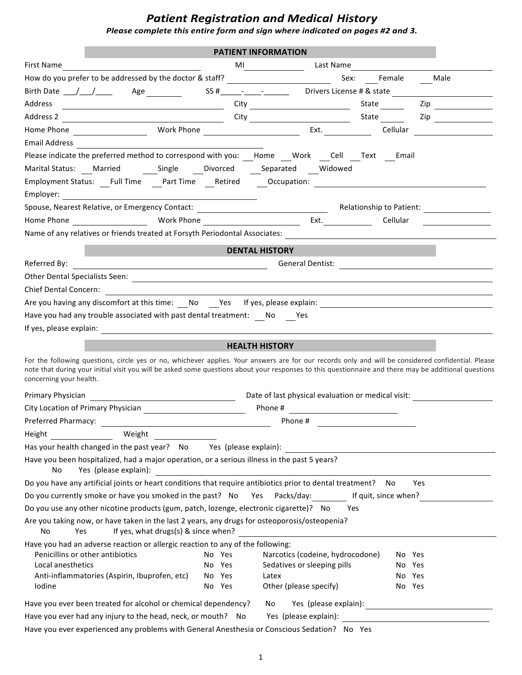## **Patient Registration and Medical History**

Please complete this entire form and sign where indicated on pages #2 and 3.

|                                                                                                                                                                                                                                                                                                              |                       | <b>PATIENT INFORMATION</b>                                                                               |                  |                                                                                                                      |
|--------------------------------------------------------------------------------------------------------------------------------------------------------------------------------------------------------------------------------------------------------------------------------------------------------------|-----------------------|----------------------------------------------------------------------------------------------------------|------------------|----------------------------------------------------------------------------------------------------------------------|
| First Name                                                                                                                                                                                                                                                                                                   | MI                    |                                                                                                          | Last Name        |                                                                                                                      |
| How do you prefer to be addressed by the doctor & staff? _______________________                                                                                                                                                                                                                             |                       |                                                                                                          | Sex: Female Male |                                                                                                                      |
|                                                                                                                                                                                                                                                                                                              |                       | SS # ______ <sup>_</sup> _____ <sup>_</sup> ________  Drivers License # & state ________________________ |                  |                                                                                                                      |
| Address                                                                                                                                                                                                                                                                                                      |                       |                                                                                                          |                  | $\mathsf{Zip}$                                                                                                       |
|                                                                                                                                                                                                                                                                                                              |                       |                                                                                                          |                  |                                                                                                                      |
|                                                                                                                                                                                                                                                                                                              |                       |                                                                                                          |                  | Cellular <u>Januar Maria Salaman a</u>                                                                               |
| <b>Email Address</b>                                                                                                                                                                                                                                                                                         |                       |                                                                                                          |                  |                                                                                                                      |
| Please indicate the preferred method to correspond with you: Home Work Cell Text Email                                                                                                                                                                                                                       |                       |                                                                                                          |                  |                                                                                                                      |
|                                                                                                                                                                                                                                                                                                              |                       |                                                                                                          |                  |                                                                                                                      |
|                                                                                                                                                                                                                                                                                                              |                       |                                                                                                          |                  |                                                                                                                      |
| Employer: Employer                                                                                                                                                                                                                                                                                           |                       |                                                                                                          |                  |                                                                                                                      |
| Spouse, Nearest Relative, or Emergency Contact: ________________________________                                                                                                                                                                                                                             |                       |                                                                                                          |                  | Relationship to Patient:                                                                                             |
|                                                                                                                                                                                                                                                                                                              |                       | Ext. $\qquad \qquad \qquad$                                                                              | Cellular         |                                                                                                                      |
| Name of any relatives or friends treated at Forsyth Periodontal Associates:                                                                                                                                                                                                                                  |                       |                                                                                                          |                  |                                                                                                                      |
|                                                                                                                                                                                                                                                                                                              |                       | <b>DENTAL HISTORY</b>                                                                                    |                  |                                                                                                                      |
| Referred By:                                                                                                                                                                                                                                                                                                 |                       | <b>General Dentist:</b>                                                                                  |                  |                                                                                                                      |
| <u> 1980 - Johann Barbara, martxa eta politikar</u>                                                                                                                                                                                                                                                          |                       |                                                                                                          |                  |                                                                                                                      |
| Chief Dental Concern:                                                                                                                                                                                                                                                                                        |                       |                                                                                                          |                  |                                                                                                                      |
| Are you having any discomfort at this time: No Yes If yes, please explain:                                                                                                                                                                                                                                   |                       |                                                                                                          |                  |                                                                                                                      |
| Have you had any trouble associated with past dental treatment: No Yes                                                                                                                                                                                                                                       |                       |                                                                                                          |                  |                                                                                                                      |
| If yes, please explain: The Contract of the Contract of the Contract of the Contract of the Contract of the Contract of the Contract of the Contract of the Contract of the Contract of the Contract of the Contract of the Co                                                                               |                       |                                                                                                          |                  |                                                                                                                      |
|                                                                                                                                                                                                                                                                                                              |                       |                                                                                                          |                  |                                                                                                                      |
|                                                                                                                                                                                                                                                                                                              |                       | <b>HEALTH HISTORY</b>                                                                                    |                  |                                                                                                                      |
| For the following questions, circle yes or no, whichever applies. Your answers are for our records only and will be considered confidential. Please<br>note that during your initial visit you will be asked some questions about your responses to this questionnaire and there may be additional questions |                       |                                                                                                          |                  |                                                                                                                      |
| concerning your health.                                                                                                                                                                                                                                                                                      |                       |                                                                                                          |                  |                                                                                                                      |
|                                                                                                                                                                                                                                                                                                              |                       | Date of last physical evaluation or medical visit:                                                       |                  |                                                                                                                      |
|                                                                                                                                                                                                                                                                                                              |                       | Phone #                                                                                                  |                  |                                                                                                                      |
| Preferred Pharmacy: The Contract of The Contract of The Contract of The Contract of The Contract of The Contract of The Contract of The Contract of The Contract of The Contract of The Contract of The Contract of The Contra                                                                               |                       | Phone #                                                                                                  |                  |                                                                                                                      |
| Weight<br>Height                                                                                                                                                                                                                                                                                             |                       |                                                                                                          |                  |                                                                                                                      |
| Has your health changed in the past year? No                                                                                                                                                                                                                                                                 | Yes (please explain): |                                                                                                          |                  |                                                                                                                      |
| Have you been hospitalized, had a major operation, or a serious illness in the past 5 years?                                                                                                                                                                                                                 |                       |                                                                                                          |                  |                                                                                                                      |
| Yes (please explain):<br>No                                                                                                                                                                                                                                                                                  |                       |                                                                                                          |                  |                                                                                                                      |
| Do you have any artificial joints or heart conditions that require antibiotics prior to dental treatment?                                                                                                                                                                                                    |                       |                                                                                                          | No               | Yes                                                                                                                  |
| Do you currently smoke or have you smoked in the past? No Yes Packs/day: If quit, since when?                                                                                                                                                                                                                |                       |                                                                                                          |                  |                                                                                                                      |
| Do you use any other nicotine products (gum, patch, lozenge, electronic cigarette)? No                                                                                                                                                                                                                       |                       | Yes                                                                                                      |                  |                                                                                                                      |
| Are you taking now, or have taken in the last 2 years, any drugs for osteoporosis/osteopenia?<br>If yes, what drugs(s) & since when?<br>No<br>Yes                                                                                                                                                            |                       |                                                                                                          |                  |                                                                                                                      |
| Have you had an adverse reaction or allergic reaction to any of the following:                                                                                                                                                                                                                               |                       |                                                                                                          |                  |                                                                                                                      |
| Penicillins or other antibiotics                                                                                                                                                                                                                                                                             | No Yes                | Narcotics (codeine, hydrocodone)                                                                         | No Yes           |                                                                                                                      |
| Local anesthetics<br>Anti-inflammatories (Aspirin, Ibuprofen, etc)                                                                                                                                                                                                                                           | No<br>Yes<br>No Yes   | Sedatives or sleeping pills<br>Latex                                                                     | No Yes<br>No Yes |                                                                                                                      |
| Iodine                                                                                                                                                                                                                                                                                                       | No Yes                | Other (please specify)                                                                                   | No Yes           |                                                                                                                      |
|                                                                                                                                                                                                                                                                                                              |                       |                                                                                                          |                  |                                                                                                                      |
| Have you ever been treated for alcohol or chemical dependency?                                                                                                                                                                                                                                               |                       | Yes (please explain):<br>No                                                                              |                  | <u> 1980 - Johann Barn, mars ann an t-Amhain Aonaich an t-Aonaich an t-Aonaich ann an t-Aonaich ann an t-Aonaich</u> |
| Have you ever had any injury to the head, neck, or mouth? No                                                                                                                                                                                                                                                 |                       | Yes (please explain):                                                                                    |                  |                                                                                                                      |
| Have you ever experienced any problems with General Anesthesia or Conscious Sedation? No Yes                                                                                                                                                                                                                 |                       |                                                                                                          |                  |                                                                                                                      |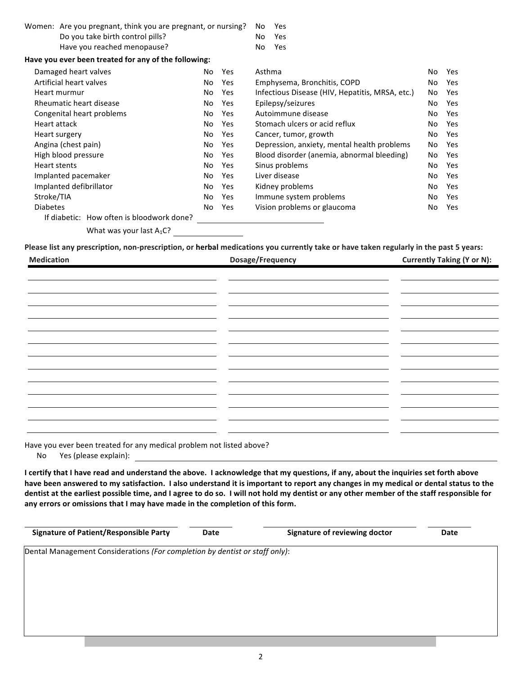| Women: Are you pregnant, think you are pregnant, or nursing? |     |            | No.<br>Yes                                                    |
|--------------------------------------------------------------|-----|------------|---------------------------------------------------------------|
| Do you take birth control pills?                             |     |            | No.<br>Yes                                                    |
| Have you reached menopause?                                  |     |            | No<br>Yes                                                     |
| Have you ever been treated for any of the following:         |     |            |                                                               |
| Damaged heart valves                                         | No  | <b>Yes</b> | Asthma<br>No<br>Yes                                           |
| Artificial heart valves                                      | No  | <b>Yes</b> | Emphysema, Bronchitis, COPD<br>No<br>Yes                      |
| Heart murmur                                                 | No  | Yes        | Infectious Disease (HIV, Hepatitis, MRSA, etc.)<br>Yes<br>No. |
| Rheumatic heart disease                                      | No. | <b>Yes</b> | Epilepsy/seizures<br>No.<br>Yes                               |
| Congenital heart problems                                    | No  | <b>Yes</b> | Autoimmune disease<br>No<br>Yes                               |
| Heart attack                                                 | No  | <b>Yes</b> | Stomach ulcers or acid reflux<br>No<br>Yes                    |
| Heart surgery                                                | No  | <b>Yes</b> | Cancer, tumor, growth<br>No<br>Yes                            |
| Angina (chest pain)                                          | No  | <b>Yes</b> | Depression, anxiety, mental health problems<br>No<br>Yes      |
| High blood pressure                                          | No  | <b>Yes</b> | Blood disorder (anemia, abnormal bleeding)<br>No<br>Yes       |
| Heart stents                                                 | No  | Yes        | Sinus problems<br>No<br>Yes                                   |
| Implanted pacemaker                                          | No  | <b>Yes</b> | Liver disease<br>No<br>Yes                                    |
| Implanted defibrillator                                      | No  | <b>Yes</b> | Kidney problems<br>No<br>Yes                                  |
| Stroke/TIA                                                   | No  | Yes        | Immune system problems<br>Yes<br>No                           |
| <b>Diabetes</b>                                              | No  | Yes        | Vision problems or glaucoma<br>No<br>Yes                      |
| If diabetic: How often is bloodwork done?                    |     |            |                                                               |
| What was your last $A_1C$ ?                                  |     |            |                                                               |

Please list any prescription, non-prescription, or herbal medications you currently take or have taken regularly in the past 5 years:

| <b>Medication</b> | Dosage/Frequency | <b>Currently Taking (Y or N):</b> |
|-------------------|------------------|-----------------------------------|
|                   |                  |                                   |
|                   |                  |                                   |
|                   |                  |                                   |
|                   |                  |                                   |
|                   |                  |                                   |
|                   |                  |                                   |
|                   |                  |                                   |
|                   |                  |                                   |
|                   |                  |                                   |
|                   |                  |                                   |
|                   |                  |                                   |
|                   |                  |                                   |
|                   |                  |                                   |
|                   |                  |                                   |

Have you ever been treated for any medical problem not listed above?

No Yes (please explain):

I certify that I have read and understand the above. I acknowledge that my questions, if any, about the inquiries set forth above have been answered to my satisfaction. I also understand it is important to report any changes in my medical or dental status to the dentist at the earliest possible time, and I agree to do so. I will not hold my dentist or any other member of the staff responsible for any errors or omissions that I may have made in the completion of this form.

**Signature of Patient/Responsible Party Date Date Signature of reviewing doctor Date** 

Dental Management Considerations (For completion by dentist or staff only):